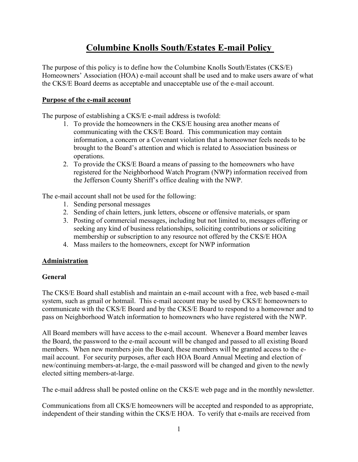# **Columbine Knolls South/Estates E-mail Policy**

The purpose of this policy is to define how the Columbine Knolls South/Estates (CKS/E) Homeowners' Association (HOA) e-mail account shall be used and to make users aware of what the CKS/E Board deems as acceptable and unacceptable use of the e-mail account.

# **Purpose of the e-mail account**

The purpose of establishing a CKS/E e-mail address is twofold:

- 1. To provide the homeowners in the CKS/E housing area another means of communicating with the CKS/E Board. This communication may contain information, a concern or a Covenant violation that a homeowner feels needs to be brought to the Board's attention and which is related to Association business or operations.
- 2. To provide the CKS/E Board a means of passing to the homeowners who have registered for the Neighborhood Watch Program (NWP) information received from the Jefferson County Sheriff's office dealing with the NWP.

The e-mail account shall not be used for the following:

- 1. Sending personal messages
- 2. Sending of chain letters, junk letters, obscene or offensive materials, or spam
- 3. Posting of commercial messages, including but not limited to, messages offering or seeking any kind of business relationships, soliciting contributions or soliciting membership or subscription to any resource not offered by the CKS/E HOA
- 4. Mass mailers to the homeowners, except for NWP information

# **Administration**

## **General**

The CKS/E Board shall establish and maintain an e-mail account with a free, web based e-mail system, such as gmail or hotmail. This e-mail account may be used by CKS/E homeowners to communicate with the CKS/E Board and by the CKS/E Board to respond to a homeowner and to pass on Neighborhood Watch information to homeowners who have registered with the NWP.

All Board members will have access to the e-mail account. Whenever a Board member leaves the Board, the password to the e-mail account will be changed and passed to all existing Board members. When new members join the Board, these members will be granted access to the email account. For security purposes, after each HOA Board Annual Meeting and election of new/continuing members-at-large, the e-mail password will be changed and given to the newly elected sitting members-at-large.

The e-mail address shall be posted online on the CKS/E web page and in the monthly newsletter.

Communications from all CKS/E homeowners will be accepted and responded to as appropriate, independent of their standing within the CKS/E HOA. To verify that e-mails are received from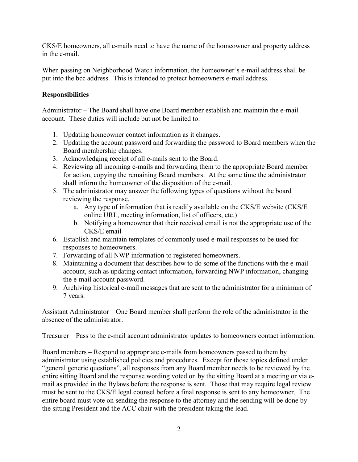CKS/E homeowners, all e-mails need to have the name of the homeowner and property address in the e-mail.

When passing on Neighborhood Watch information, the homeowner's e-mail address shall be put into the bcc address. This is intended to protect homeowners e-mail address.

# **Responsibilities**

Administrator – The Board shall have one Board member establish and maintain the e-mail account. These duties will include but not be limited to:

- 1. Updating homeowner contact information as it changes.
- 2. Updating the account password and forwarding the password to Board members when the Board membership changes.
- 3. Acknowledging receipt of all e-mails sent to the Board.
- 4. Reviewing all incoming e-mails and forwarding them to the appropriate Board member for action, copying the remaining Board members. At the same time the administrator shall inform the homeowner of the disposition of the e-mail.
- 5. The administrator may answer the following types of questions without the board reviewing the response.
	- a. Any type of information that is readily available on the CKS/E website (CKS/E online URL, meeting information, list of officers, etc.)
	- b. Notifying a homeowner that their received email is not the appropriate use of the CKS/E email
- 6. Establish and maintain templates of commonly used e-mail responses to be used for responses to homeowners.
- 7. Forwarding of all NWP information to registered homeowners.
- 8. Maintaining a document that describes how to do some of the functions with the e-mail account, such as updating contact information, forwarding NWP information, changing the e-mail account password.
- 9. Archiving historical e-mail messages that are sent to the administrator for a minimum of 7 years.

Assistant Administrator – One Board member shall perform the role of the administrator in the absence of the administrator.

Treasurer – Pass to the e-mail account administrator updates to homeowners contact information.

Board members – Respond to appropriate e-mails from homeowners passed to them by administrator using established policies and procedures. Except for those topics defined under "general generic questions", all responses from any Board member needs to be reviewed by the entire sitting Board and the response wording voted on by the sitting Board at a meeting or via email as provided in the Bylaws before the response is sent. Those that may require legal review must be sent to the CKS/E legal counsel before a final response is sent to any homeowner. The entire board must vote on sending the response to the attorney and the sending will be done by the sitting President and the ACC chair with the president taking the lead.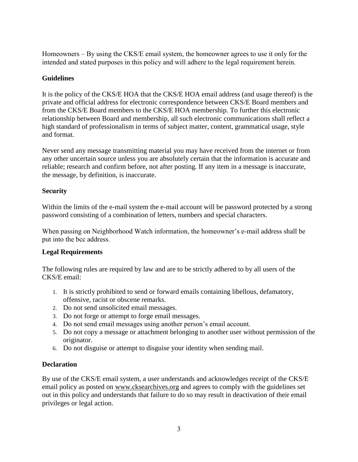Homeowners – By using the CKS/E email system, the homeowner agrees to use it only for the intended and stated purposes in this policy and will adhere to the legal requirement herein.

## **Guidelines**

It is the policy of the CKS/E HOA that the CKS/E HOA email address (and usage thereof) is the private and official address for electronic correspondence between CKS/E Board members and from the CKS/E Board members to the CKS/E HOA membership. To further this electronic relationship between Board and membership, all such electronic communications shall reflect a high standard of professionalism in terms of subject matter, content, grammatical usage, style and format.

Never send any message transmitting material you may have received from the internet or from any other uncertain source unless you are absolutely certain that the information is accurate and reliable; research and confirm before, not after posting. If any item in a message is inaccurate, the message, by definition, is inaccurate.

#### **Security**

Within the limits of the e-mail system the e-mail account will be password protected by a strong password consisting of a combination of letters, numbers and special characters.

When passing on Neighborhood Watch information, the homeowner's e-mail address shall be put into the bcc address.

#### **Legal Requirements**

The following rules are required by law and are to be strictly adhered to by all users of the CKS/E email:

- 1. It is strictly prohibited to send or forward emails containing libellous, defamatory, offensive, racist or obscene remarks.
- 2. Do not send unsolicited email messages.
- 3. Do not forge or attempt to forge email messages.
- 4. Do not send email messages using another person's email account.
- 5. Do not copy a message or attachment belonging to another user without permission of the originator.
- 6. Do not disguise or attempt to disguise your identity when sending mail.

## **Declaration**

By use of the CKS/E email system, a user understands and acknowledges receipt of the CKS/E email policy as posted on [www.cksearchives.org](http://www.cksearchives.org/) and agrees to comply with the guidelines set out in this policy and understands that failure to do so may result in deactivation of their email privileges or legal action.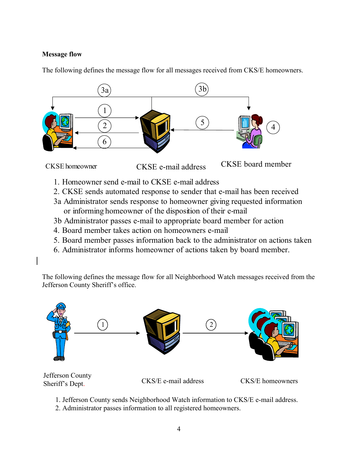# **Message flow**

The following defines the message flow for all messages received from CKS/E homeowners.





- 1. Homeowner send e-mail to CKSE e-mail address
- 2. CKSE sends automated response to sender that e-mail has been received
- 3a Administrator sends response to homeowner giving requested information or informing homeowner of the disposition of their e-mail
- 3b Administrator passes e-mail to appropriate board member for action
- 4. Board member takes action on homeowners e-mail
- 5. Board member passes information back to the administrator on actions taken
- 6. Administrator informs homeowner of actions taken by board member.

The following defines the message flow for all Neighborhood Watch messages received from the Jefferson County Sheriff's office.



Sheriff's Dept.

CKS/E e-mail address CKS/E homeowners

1. Jefferson County sends Neighborhood Watch information to CKS/E e-mail address.

2. Administrator passes information to all registered homeowners.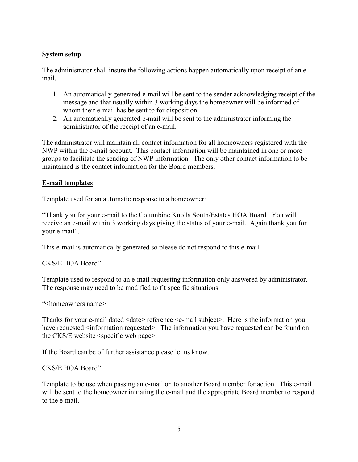# **System setup**

The administrator shall insure the following actions happen automatically upon receipt of an email.

- 1. An automatically generated e-mail will be sent to the sender acknowledging receipt of the message and that usually within 3 working days the homeowner will be informed of whom their e-mail has be sent to for disposition.
- 2. An automatically generated e-mail will be sent to the administrator informing the administrator of the receipt of an e-mail.

The administrator will maintain all contact information for all homeowners registered with the NWP within the e-mail account. This contact information will be maintained in one or more groups to facilitate the sending of NWP information. The only other contact information to be maintained is the contact information for the Board members.

## **E-mail templates**

Template used for an automatic response to a homeowner:

"Thank you for your e-mail to the Columbine Knolls South/Estates HOA Board. You will receive an e-mail within 3 working days giving the status of your e-mail. Again thank you for your e-mail".

This e-mail is automatically generated so please do not respond to this e-mail.

CKS/E HOA Board"

Template used to respond to an e-mail requesting information only answered by administrator. The response may need to be modified to fit specific situations.

"<homeowners name>

Thanks for your e-mail dated <date> reference <e-mail subject>. Here is the information you have requested  $\leq$ information requested>. The information you have requested can be found on the CKS/E website <specific web page>.

If the Board can be of further assistance please let us know.

CKS/E HOA Board"

Template to be use when passing an e-mail on to another Board member for action. This e-mail will be sent to the homeowner initiating the e-mail and the appropriate Board member to respond to the e-mail.